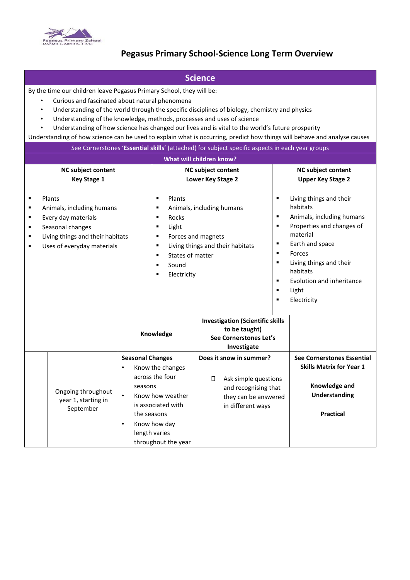

## **Pegasus Primary School-Science Long Term Overview**

| <b>Science</b>                                                                                                                                                                                                                                                                                                                                                                                                                                                                                                                                                                                                                                                              |                                                                                                                                                                                                                      |                                                                                                                           |                                                                                                                                                                                                                                                                                                                                                  |  |  |
|-----------------------------------------------------------------------------------------------------------------------------------------------------------------------------------------------------------------------------------------------------------------------------------------------------------------------------------------------------------------------------------------------------------------------------------------------------------------------------------------------------------------------------------------------------------------------------------------------------------------------------------------------------------------------------|----------------------------------------------------------------------------------------------------------------------------------------------------------------------------------------------------------------------|---------------------------------------------------------------------------------------------------------------------------|--------------------------------------------------------------------------------------------------------------------------------------------------------------------------------------------------------------------------------------------------------------------------------------------------------------------------------------------------|--|--|
| By the time our children leave Pegasus Primary School, they will be:<br>Curious and fascinated about natural phenomena<br>Understanding of the world through the specific disciplines of biology, chemistry and physics<br>$\bullet$<br>Understanding of the knowledge, methods, processes and uses of science<br>$\bullet$<br>Understanding of how science has changed our lives and is vital to the world's future prosperity<br>$\bullet$<br>Understanding of how science can be used to explain what is occurring, predict how things will behave and analyse causes<br>See Cornerstones 'Essential skills' (attached) for subject specific aspects in each year groups |                                                                                                                                                                                                                      |                                                                                                                           |                                                                                                                                                                                                                                                                                                                                                  |  |  |
|                                                                                                                                                                                                                                                                                                                                                                                                                                                                                                                                                                                                                                                                             |                                                                                                                                                                                                                      | <b>What will children know?</b>                                                                                           |                                                                                                                                                                                                                                                                                                                                                  |  |  |
| <b>NC subject content</b><br><b>Key Stage 1</b>                                                                                                                                                                                                                                                                                                                                                                                                                                                                                                                                                                                                                             |                                                                                                                                                                                                                      | <b>NC subject content</b><br><b>NC subject content</b><br>Lower Key Stage 2<br><b>Upper Key Stage 2</b>                   |                                                                                                                                                                                                                                                                                                                                                  |  |  |
| Plants<br>٠<br>Animals, including humans<br>٠<br>Every day materials<br>$\blacksquare$<br>Seasonal changes<br>٠<br>Living things and their habitats<br>٠<br>Uses of everyday materials                                                                                                                                                                                                                                                                                                                                                                                                                                                                                      | Plants<br>٠<br>٠<br>Rocks<br>٠<br>Light<br>٠<br>٠<br>٠<br>٠<br>٠<br>Sound<br>Electricity<br>٠                                                                                                                        | Animals, including humans<br>Forces and magnets<br>Living things and their habitats<br>States of matter                   | Living things and their<br>$\blacksquare$<br>habitats<br>Animals, including humans<br>٠<br>Properties and changes of<br>$\blacksquare$<br>material<br>Earth and space<br>٠<br>Forces<br>$\blacksquare$<br>Living things and their<br>٠<br>habitats<br>Evolution and inheritance<br>$\blacksquare$<br>Light<br>٠<br>Electricity<br>$\blacksquare$ |  |  |
|                                                                                                                                                                                                                                                                                                                                                                                                                                                                                                                                                                                                                                                                             | Knowledge                                                                                                                                                                                                            | <b>Investigation (Scientific skills</b><br>to be taught)<br>See Cornerstones Let's<br>Investigate                         |                                                                                                                                                                                                                                                                                                                                                  |  |  |
| Ongoing throughout<br>year 1, starting in<br>September                                                                                                                                                                                                                                                                                                                                                                                                                                                                                                                                                                                                                      | <b>Seasonal Changes</b><br>Know the changes<br>across the four<br>seasons<br>$\bullet$<br>Know how weather<br>is associated with<br>the seasons<br>Know how day<br>$\bullet$<br>length varies<br>throughout the year | Does it snow in summer?<br>Ο<br>Ask simple questions<br>and recognising that<br>they can be answered<br>in different ways | See Cornerstones Essential<br><b>Skills Matrix for Year 1</b><br>Knowledge and<br><b>Understanding</b><br><b>Practical</b>                                                                                                                                                                                                                       |  |  |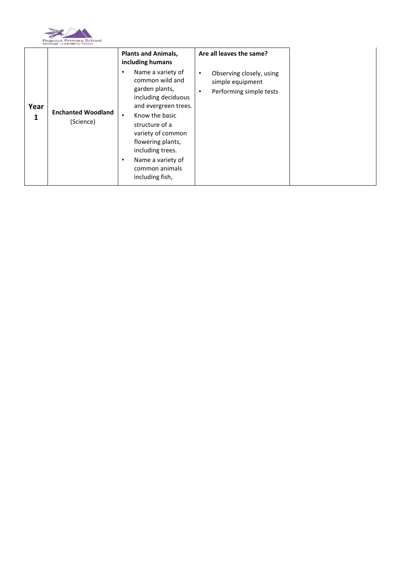

| Are all leaves the same?<br><b>Plants and Animals,</b><br>including humans                                                                                                                                                                                                                                                                                                                                         |  |
|--------------------------------------------------------------------------------------------------------------------------------------------------------------------------------------------------------------------------------------------------------------------------------------------------------------------------------------------------------------------------------------------------------------------|--|
| Name a variety of<br>Observing closely, using<br>٠<br>common wild and<br>simple equipment<br>garden plants,<br>Performing simple tests<br>٠<br>including deciduous<br>and evergreen trees.<br>Year<br><b>Enchanted Woodland</b><br>Know the basic<br>1<br>(Science)<br>structure of a<br>variety of common<br>flowering plants,<br>including trees.<br>Name a variety of<br>٠<br>common animals<br>including fish, |  |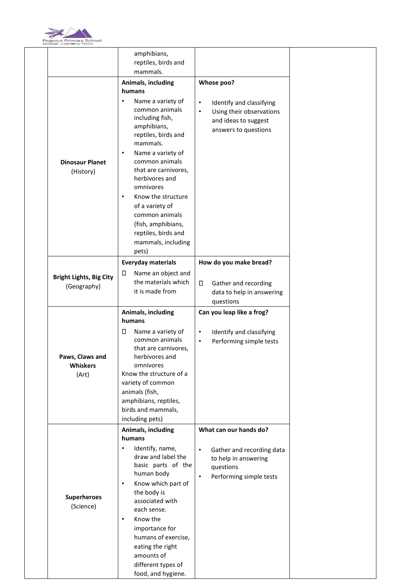

|                                               | amphibians,<br>reptiles, birds and<br>mammals.                                                                                                                                                                                      |                                                                                                                                |
|-----------------------------------------------|-------------------------------------------------------------------------------------------------------------------------------------------------------------------------------------------------------------------------------------|--------------------------------------------------------------------------------------------------------------------------------|
|                                               | Animals, including<br>humans                                                                                                                                                                                                        | Whose poo?                                                                                                                     |
|                                               | Name a variety of<br>common animals<br>including fish,<br>amphibians,<br>reptiles, birds and<br>mammals.                                                                                                                            | Identify and classifying<br>$\bullet$<br>Using their observations<br>$\bullet$<br>and ideas to suggest<br>answers to questions |
| <b>Dinosaur Planet</b><br>(History)           | Name a variety of<br>$\bullet$<br>common animals<br>that are carnivores,<br>herbivores and<br>omnivores                                                                                                                             |                                                                                                                                |
|                                               | Know the structure<br>$\bullet$<br>of a variety of<br>common animals<br>(fish, amphibians,<br>reptiles, birds and<br>mammals, including<br>pets)                                                                                    |                                                                                                                                |
|                                               | <b>Everyday materials</b>                                                                                                                                                                                                           | How do you make bread?                                                                                                         |
| <b>Bright Lights, Big City</b><br>(Geography) | $\Box$<br>Name an object and<br>the materials which<br>it is made from                                                                                                                                                              | $\Box$<br>Gather and recording<br>data to help in answering<br>questions                                                       |
|                                               | Animals, including<br>humans                                                                                                                                                                                                        | Can you leap like a frog?                                                                                                      |
| Paws, Claws and<br><b>Whiskers</b><br>(Art)   | Name a variety of<br>□<br>common animals<br>that are carnivores,<br>herbivores and<br>omnivores<br>Know the structure of a<br>variety of common<br>animals (fish,<br>amphibians, reptiles,<br>birds and mammals,<br>including pets) | Identify and classifying<br>$\bullet$<br>Performing simple tests<br>$\bullet$                                                  |
|                                               | Animals, including<br>humans                                                                                                                                                                                                        | What can our hands do?                                                                                                         |
| <b>Superheroes</b><br>(Science)               | Identify, name,<br>$\bullet$<br>draw and label the<br>basic parts of the<br>human body<br>Know which part of<br>$\bullet$<br>the body is<br>associated with<br>each sense.<br>Know the<br>$\bullet$                                 | $\bullet$<br>Gather and recording data<br>to help in answering<br>questions<br>Performing simple tests<br>$\bullet$            |
|                                               | importance for<br>humans of exercise,<br>eating the right<br>amounts of<br>different types of<br>food, and hygiene.                                                                                                                 |                                                                                                                                |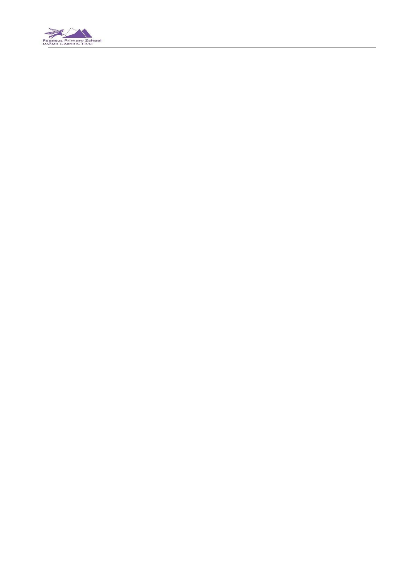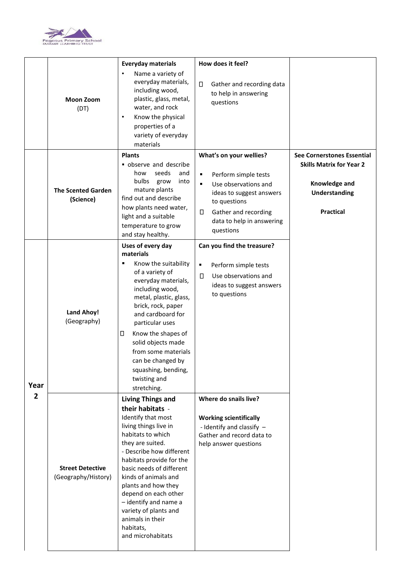

|                         |                                                | <b>Everyday materials</b>                                                                                                                                                                                                                                                                                                                                                                               | How does it feel?                                                                                                                                                                      |                                                                                              |
|-------------------------|------------------------------------------------|---------------------------------------------------------------------------------------------------------------------------------------------------------------------------------------------------------------------------------------------------------------------------------------------------------------------------------------------------------------------------------------------------------|----------------------------------------------------------------------------------------------------------------------------------------------------------------------------------------|----------------------------------------------------------------------------------------------|
|                         | <b>Moon Zoom</b><br>(DT)                       | Name a variety of<br>٠<br>everyday materials,<br>including wood,<br>plastic, glass, metal,<br>water, and rock<br>Know the physical<br>$\bullet$<br>properties of a<br>variety of everyday<br>materials                                                                                                                                                                                                  | $\Box$<br>Gather and recording data<br>to help in answering<br>questions                                                                                                               |                                                                                              |
|                         |                                                | <b>Plants</b>                                                                                                                                                                                                                                                                                                                                                                                           | What's on your wellies?                                                                                                                                                                | See Cornerstones Essential                                                                   |
|                         | <b>The Scented Garden</b><br>(Science)         | · observe and describe<br>how<br>seeds<br>and<br>bulbs grow<br>into<br>mature plants<br>find out and describe<br>how plants need water,<br>light and a suitable<br>temperature to grow<br>and stay healthy.                                                                                                                                                                                             | ٠<br>Perform simple tests<br>$\blacksquare$<br>Use observations and<br>ideas to suggest answers<br>to questions<br>Gather and recording<br>O<br>data to help in answering<br>questions | <b>Skills Matrix for Year 2</b><br>Knowledge and<br><b>Understanding</b><br><b>Practical</b> |
|                         |                                                | Uses of every day                                                                                                                                                                                                                                                                                                                                                                                       | Can you find the treasure?                                                                                                                                                             |                                                                                              |
| Year                    | <b>Land Ahoy!</b><br>(Geography)               | materials<br>Know the suitability<br>of a variety of<br>everyday materials,<br>including wood,<br>metal, plastic, glass,<br>brick, rock, paper<br>and cardboard for<br>particular uses<br>Know the shapes of<br>□<br>solid objects made<br>from some materials<br>can be changed by<br>squashing, bending,<br>twisting and<br>stretching.                                                               | $\blacksquare$<br>Perform simple tests<br>Use observations and<br>$\Box$<br>ideas to suggest answers<br>to questions                                                                   |                                                                                              |
| $\overline{\mathbf{2}}$ | <b>Street Detective</b><br>(Geography/History) | <b>Living Things and</b><br>their habitats -<br>Identify that most<br>living things live in<br>habitats to which<br>they are suited.<br>- Describe how different<br>habitats provide for the<br>basic needs of different<br>kinds of animals and<br>plants and how they<br>depend on each other<br>- identify and name a<br>variety of plants and<br>animals in their<br>habitats,<br>and microhabitats | Where do snails live?<br><b>Working scientifically</b><br>- Identify and classify -<br>Gather and record data to<br>help answer questions                                              |                                                                                              |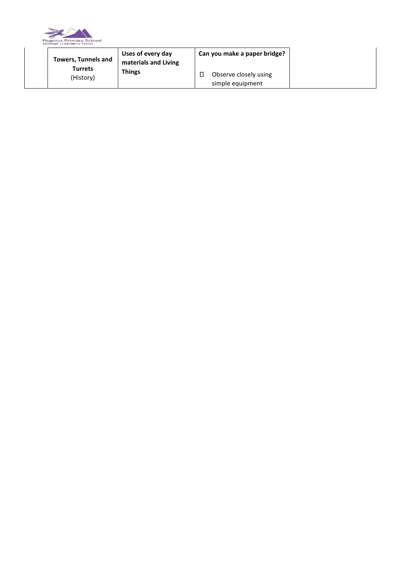

| Uses of every day<br><b>Towers, Tunnels and</b><br>materials and Living<br><b>Turrets</b><br><b>Things</b><br>(History) | Can you make a paper bridge?<br>Observe closely using<br>simple equipment |
|-------------------------------------------------------------------------------------------------------------------------|---------------------------------------------------------------------------|
|-------------------------------------------------------------------------------------------------------------------------|---------------------------------------------------------------------------|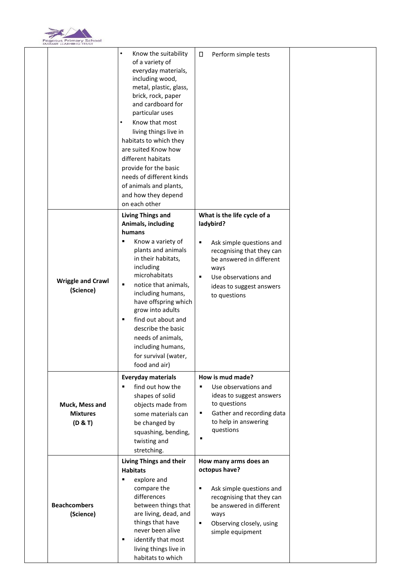

|                                              | Know the suitability<br>٠<br>of a variety of<br>everyday materials,<br>including wood,<br>metal, plastic, glass,<br>brick, rock, paper<br>and cardboard for<br>particular uses<br>Know that most<br>$\bullet$<br>living things live in<br>habitats to which they<br>are suited Know how<br>different habitats<br>provide for the basic<br>needs of different kinds<br>of animals and plants,<br>and how they depend<br>on each other | Perform simple tests<br>П                                                                                                                                                                                                        |  |
|----------------------------------------------|--------------------------------------------------------------------------------------------------------------------------------------------------------------------------------------------------------------------------------------------------------------------------------------------------------------------------------------------------------------------------------------------------------------------------------------|----------------------------------------------------------------------------------------------------------------------------------------------------------------------------------------------------------------------------------|--|
| <b>Wriggle and Crawl</b><br>(Science)        | <b>Living Things and</b><br>Animals, including<br>humans<br>Know a variety of<br>п<br>plants and animals<br>in their habitats,<br>including<br>microhabitats<br>notice that animals,<br>٠<br>including humans,<br>have offspring which<br>grow into adults<br>find out about and<br>٠<br>describe the basic<br>needs of animals,<br>including humans,<br>for survival (water,<br>food and air)                                       | What is the life cycle of a<br>ladybird?<br>Ask simple questions and<br>٠<br>recognising that they can<br>be answered in different<br>ways<br>Use observations and<br>$\blacksquare$<br>ideas to suggest answers<br>to questions |  |
| Muck, Mess and<br><b>Mixtures</b><br>(D & T) | <b>Everyday materials</b><br>find out how the<br>$\blacksquare$<br>shapes of solid<br>objects made from<br>some materials can<br>be changed by<br>squashing, bending,<br>twisting and<br>stretching.                                                                                                                                                                                                                                 | How is mud made?<br>Use observations and<br>ideas to suggest answers<br>to questions<br>Gather and recording data<br>٠<br>to help in answering<br>questions                                                                      |  |
| <b>Beachcombers</b><br>(Science)             | <b>Living Things and their</b><br><b>Habitats</b><br>explore and<br>$\blacksquare$<br>compare the<br>differences<br>between things that<br>are living, dead, and<br>things that have<br>never been alive<br>identify that most<br>٠<br>living things live in<br>habitats to which                                                                                                                                                    | How many arms does an<br>octopus have?<br>Ask simple questions and<br>٠<br>recognising that they can<br>be answered in different<br>ways<br>Observing closely, using<br>٠<br>simple equipment                                    |  |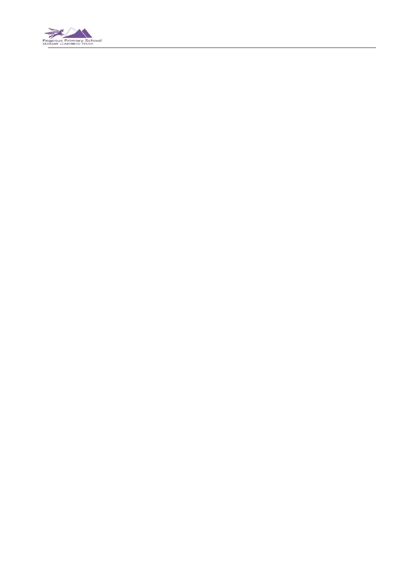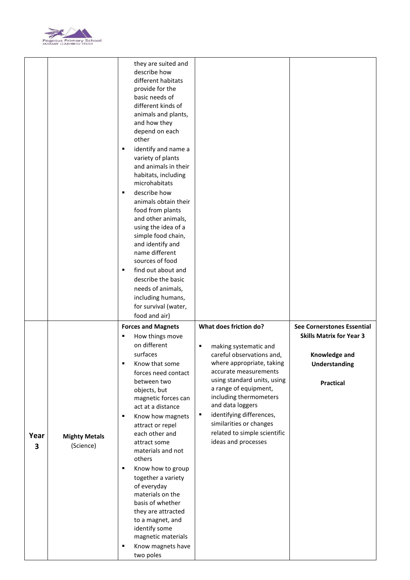

|           |                                   | they are suited and<br>describe how<br>different habitats<br>provide for the<br>basic needs of<br>different kinds of<br>animals and plants,<br>and how they<br>depend on each<br>other<br>identify and name a<br>٠<br>variety of plants<br>and animals in their<br>habitats, including<br>microhabitats<br>describe how<br>٠<br>animals obtain their<br>food from plants<br>and other animals,<br>using the idea of a<br>simple food chain,<br>and identify and<br>name different<br>sources of food<br>find out about and<br>٠<br>describe the basic<br>needs of animals,<br>including humans, |                                                                                                                                                                                                                                                                                                                                        |                                                                                       |
|-----------|-----------------------------------|-------------------------------------------------------------------------------------------------------------------------------------------------------------------------------------------------------------------------------------------------------------------------------------------------------------------------------------------------------------------------------------------------------------------------------------------------------------------------------------------------------------------------------------------------------------------------------------------------|----------------------------------------------------------------------------------------------------------------------------------------------------------------------------------------------------------------------------------------------------------------------------------------------------------------------------------------|---------------------------------------------------------------------------------------|
|           |                                   | for survival (water,<br>food and air)                                                                                                                                                                                                                                                                                                                                                                                                                                                                                                                                                           |                                                                                                                                                                                                                                                                                                                                        |                                                                                       |
|           |                                   | <b>Forces and Magnets</b>                                                                                                                                                                                                                                                                                                                                                                                                                                                                                                                                                                       | What does friction do?                                                                                                                                                                                                                                                                                                                 | <b>See Cornerstones Essential</b>                                                     |
| Year<br>3 | <b>Mighty Metals</b><br>(Science) | How things move<br>٠<br>on different<br>surfaces<br>Know that some<br>г<br>forces need contact<br>between two<br>objects, but<br>magnetic forces can<br>act at a distance<br>Know how magnets<br>٠<br>attract or repel<br>each other and<br>attract some<br>materials and not<br>others<br>Know how to group<br>٠<br>together a variety<br>of everyday<br>materials on the<br>basis of whether<br>they are attracted<br>to a magnet, and<br>identify some<br>magnetic materials<br>Know magnets have<br>п<br>two poles                                                                          | ٠<br>making systematic and<br>careful observations and,<br>where appropriate, taking<br>accurate measurements<br>using standard units, using<br>a range of equipment,<br>including thermometers<br>and data loggers<br>identifying differences,<br>٠<br>similarities or changes<br>related to simple scientific<br>ideas and processes | <b>Skills Matrix for Year 3</b><br>Knowledge and<br>Understanding<br><b>Practical</b> |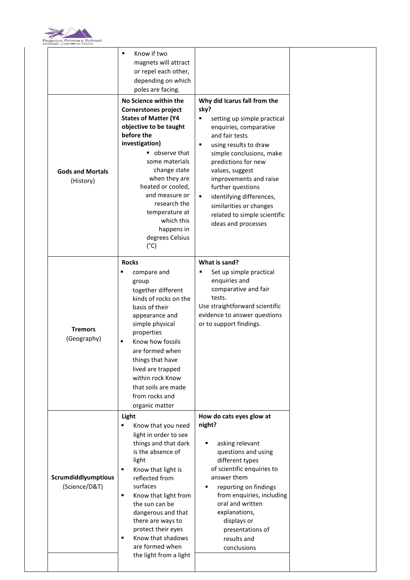

| <b>Gods and Mortals</b><br>(History) | Know if two<br>٠<br>magnets will attract<br>or repel each other,<br>depending on which<br>poles are facing.<br>No Science within the<br><b>Cornerstones project</b><br><b>States of Matter (Y4</b><br>objective to be taught<br>before the<br>investigation)<br>• observe that<br>some materials<br>change state<br>when they are<br>heated or cooled,<br>and measure or<br>research the<br>temperature at<br>which this<br>happens in<br>degrees Celsius<br>$(^{\circ}C)$ | Why did Icarus fall from the<br>sky?<br>٠<br>setting up simple practical<br>enquiries, comparative<br>and fair tests<br>using results to draw<br>٠<br>simple conclusions, make<br>predictions for new<br>values, suggest<br>improvements and raise<br>further questions<br>$\blacksquare$<br>identifying differences,<br>similarities or changes<br>related to simple scientific<br>ideas and processes |
|--------------------------------------|----------------------------------------------------------------------------------------------------------------------------------------------------------------------------------------------------------------------------------------------------------------------------------------------------------------------------------------------------------------------------------------------------------------------------------------------------------------------------|---------------------------------------------------------------------------------------------------------------------------------------------------------------------------------------------------------------------------------------------------------------------------------------------------------------------------------------------------------------------------------------------------------|
| <b>Tremors</b><br>(Geography)        | <b>Rocks</b><br>٠<br>compare and<br>group<br>together different<br>kinds of rocks on the<br>basis of their<br>appearance and<br>simple physical<br>properties<br>Know how fossils<br>٠<br>are formed when<br>things that have<br>lived are trapped<br>within rock Know<br>that soils are made<br>from rocks and<br>organic matter                                                                                                                                          | What is sand?<br>Set up simple practical<br>٠<br>enquiries and<br>comparative and fair<br>tests.<br>Use straightforward scientific<br>evidence to answer questions<br>or to support findings.                                                                                                                                                                                                           |
| Scrumdiddlyumptious<br>(Science/D&T) | Light<br>$\blacksquare$<br>Know that you need<br>light in order to see<br>things and that dark<br>is the absence of<br>light<br>Know that light is<br>$\blacksquare$<br>reflected from<br>surfaces<br>Know that light from<br>٠<br>the sun can be<br>dangerous and that<br>there are ways to<br>protect their eyes<br>Know that shadows<br>$\blacksquare$<br>are formed when<br>the light from a light                                                                     | How do cats eyes glow at<br>night?<br>asking relevant<br>٠<br>questions and using<br>different types<br>of scientific enquiries to<br>answer them<br>reporting on findings<br>٠<br>from enquiries, including<br>oral and written<br>explanations,<br>displays or<br>presentations of<br>results and<br>conclusions                                                                                      |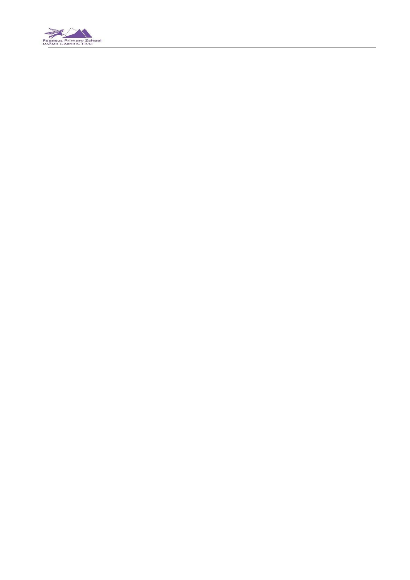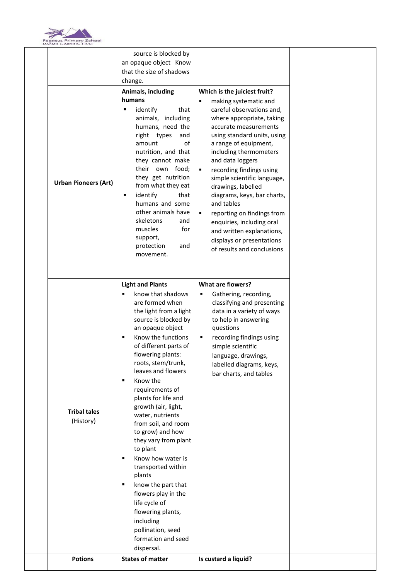

| the light from a light<br>data in a variety of ways<br>source is blocked by<br>to help in answering<br>an opaque object<br>questions<br>Know the functions<br>recording findings using<br>$\blacksquare$<br>٠<br>of different parts of<br>simple scientific<br>flowering plants:<br>language, drawings,<br>roots, stem/trunk,<br>labelled diagrams, keys,<br>leaves and flowers<br>bar charts, and tables<br>Know the<br>$\blacksquare$<br>requirements of<br>plants for life and<br>growth (air, light,<br><b>Tribal tales</b><br>water, nutrients<br>(History)<br>from soil, and room<br>to grow) and how<br>they vary from plant<br>to plant<br>Know how water is<br>$\blacksquare$<br>transported within<br>plants<br>know the part that<br>٠<br>flowers play in the<br>life cycle of<br>flowering plants,<br>including<br>pollination, seed<br>formation and seed | movement.<br><b>Light and Plants</b><br>know that shadows<br>$\blacksquare$<br>are formed when | <b>What are flowers?</b><br>Gathering, recording,<br>٠<br>classifying and presenting |
|------------------------------------------------------------------------------------------------------------------------------------------------------------------------------------------------------------------------------------------------------------------------------------------------------------------------------------------------------------------------------------------------------------------------------------------------------------------------------------------------------------------------------------------------------------------------------------------------------------------------------------------------------------------------------------------------------------------------------------------------------------------------------------------------------------------------------------------------------------------------|------------------------------------------------------------------------------------------------|--------------------------------------------------------------------------------------|
|                                                                                                                                                                                                                                                                                                                                                                                                                                                                                                                                                                                                                                                                                                                                                                                                                                                                        | dispersal.                                                                                     |                                                                                      |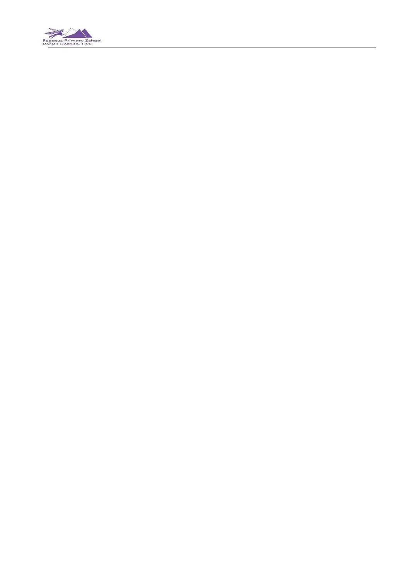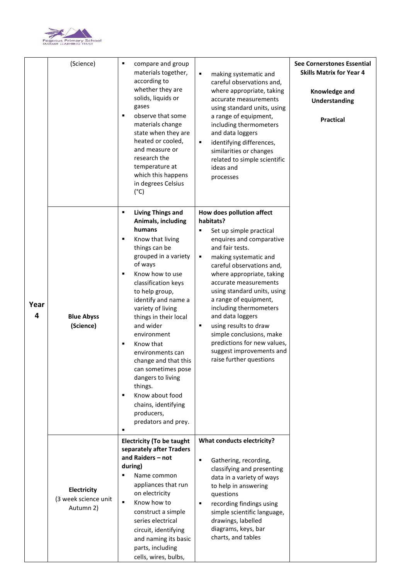

|                                 | (Science)                                        | compare and group<br>٠<br>materials together,<br>according to<br>whether they are<br>solids, liquids or<br>gases<br>observe that some<br>$\blacksquare$<br>materials change<br>state when they are<br>heated or cooled,<br>and measure or<br>research the<br>temperature at<br>which this happens<br>in degrees Celsius<br>$(^{\circ}C)$                                                                                                                                                                                     | making systematic and<br>٠<br>careful observations and,<br>where appropriate, taking<br>accurate measurements<br>using standard units, using<br>a range of equipment,<br>including thermometers<br>and data loggers<br>identifying differences,<br>٠<br>similarities or changes<br>related to simple scientific<br>ideas and<br>processes                                                                                                                                                    | See Cornerstones Essential<br><b>Skills Matrix for Year 4</b><br>Knowledge and<br><b>Understanding</b><br><b>Practical</b> |
|---------------------------------|--------------------------------------------------|------------------------------------------------------------------------------------------------------------------------------------------------------------------------------------------------------------------------------------------------------------------------------------------------------------------------------------------------------------------------------------------------------------------------------------------------------------------------------------------------------------------------------|----------------------------------------------------------------------------------------------------------------------------------------------------------------------------------------------------------------------------------------------------------------------------------------------------------------------------------------------------------------------------------------------------------------------------------------------------------------------------------------------|----------------------------------------------------------------------------------------------------------------------------|
| Year<br>$\overline{\mathbf{4}}$ | <b>Blue Abyss</b><br>(Science)                   | <b>Living Things and</b><br>٠<br>Animals, including<br>humans<br>Know that living<br>٠<br>things can be<br>grouped in a variety<br>of ways<br>Know how to use<br>$\blacksquare$<br>classification keys<br>to help group,<br>identify and name a<br>variety of living<br>things in their local<br>and wider<br>environment<br>Know that<br>٠<br>environments can<br>change and that this<br>can sometimes pose<br>dangers to living<br>things.<br>Know about food<br>chains, identifying<br>producers,<br>predators and prey. | How does pollution affect<br>habitats?<br>Set up simple practical<br>٠<br>enquires and comparative<br>and fair tests.<br>٠<br>making systematic and<br>careful observations and,<br>where appropriate, taking<br>accurate measurements<br>using standard units, using<br>a range of equipment,<br>including thermometers<br>and data loggers<br>using results to draw<br>٠<br>simple conclusions, make<br>predictions for new values,<br>suggest improvements and<br>raise further questions |                                                                                                                            |
|                                 | Electricity<br>(3 week science unit<br>Autumn 2) | <b>Electricity (To be taught</b><br>separately after Traders<br>and Raiders - not<br>during)<br>Name common<br>appliances that run<br>on electricity<br>Know how to<br>$\blacksquare$<br>construct a simple<br>series electrical<br>circuit, identifying<br>and naming its basic<br>parts, including<br>cells, wires, bulbs,                                                                                                                                                                                                 | What conducts electricity?<br>Gathering, recording,<br>Е<br>classifying and presenting<br>data in a variety of ways<br>to help in answering<br>questions<br>recording findings using<br>٠<br>simple scientific language,<br>drawings, labelled<br>diagrams, keys, bar<br>charts, and tables                                                                                                                                                                                                  |                                                                                                                            |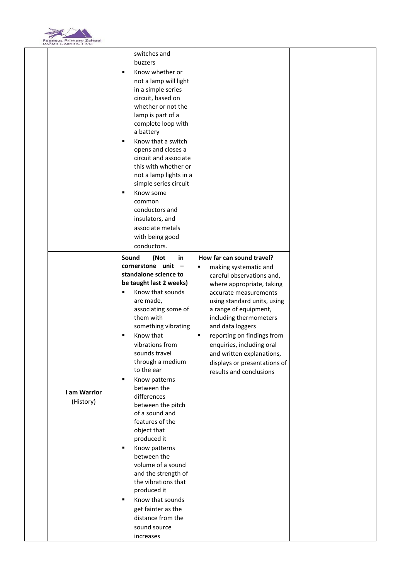

|                           | switches and<br>buzzers<br>Know whether or<br>٠<br>not a lamp will light<br>in a simple series<br>circuit, based on<br>whether or not the<br>lamp is part of a<br>complete loop with<br>a battery<br>Know that a switch<br>٠<br>opens and closes a<br>circuit and associate<br>this with whether or<br>not a lamp lights in a<br>simple series circuit<br>Know some<br>٠<br>common<br>conductors and<br>insulators, and<br>associate metals<br>with being good<br>conductors.<br>Sound<br>(Not<br>in<br>cornerstone unit -                                                                               | How far can sound travel?<br>making systematic and                                                                                                                                                                                                                                                                                                         |
|---------------------------|----------------------------------------------------------------------------------------------------------------------------------------------------------------------------------------------------------------------------------------------------------------------------------------------------------------------------------------------------------------------------------------------------------------------------------------------------------------------------------------------------------------------------------------------------------------------------------------------------------|------------------------------------------------------------------------------------------------------------------------------------------------------------------------------------------------------------------------------------------------------------------------------------------------------------------------------------------------------------|
| I am Warrior<br>(History) | standalone science to<br>be taught last 2 weeks)<br>Know that sounds<br>are made,<br>associating some of<br>them with<br>something vibrating<br>Know that<br>Ξ<br>vibrations from<br>sounds travel<br>through a medium<br>to the ear<br>Know patterns<br>П<br>between the<br>differences<br>between the pitch<br>of a sound and<br>features of the<br>object that<br>produced it<br>Know patterns<br>٠<br>between the<br>volume of a sound<br>and the strength of<br>the vibrations that<br>produced it<br>Know that sounds<br>П<br>get fainter as the<br>distance from the<br>sound source<br>increases | careful observations and,<br>where appropriate, taking<br>accurate measurements<br>using standard units, using<br>a range of equipment,<br>including thermometers<br>and data loggers<br>reporting on findings from<br>$\blacksquare$<br>enquiries, including oral<br>and written explanations,<br>displays or presentations of<br>results and conclusions |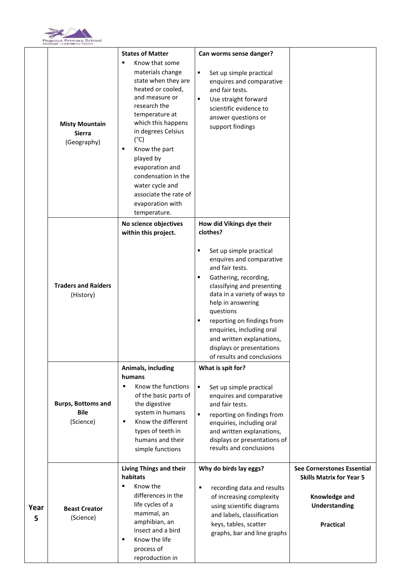

|           | <b>Misty Mountain</b><br><b>Sierra</b><br>(Geography) | <b>States of Matter</b><br>Know that some<br>Ξ<br>materials change<br>state when they are<br>heated or cooled,<br>and measure or<br>research the<br>temperature at<br>which this happens<br>in degrees Celsius<br>$(^{\circ}C)$<br>Know the part<br>٠<br>played by<br>evaporation and<br>condensation in the<br>water cycle and<br>associate the rate of<br>evaporation with<br>temperature. | Can worms sense danger?<br>$\blacksquare$<br>Set up simple practical<br>enquires and comparative<br>and fair tests.<br>Use straight forward<br>٠<br>scientific evidence to<br>answer questions or<br>support findings                                                                                                                                                                                                                |                                                                                                                            |
|-----------|-------------------------------------------------------|----------------------------------------------------------------------------------------------------------------------------------------------------------------------------------------------------------------------------------------------------------------------------------------------------------------------------------------------------------------------------------------------|--------------------------------------------------------------------------------------------------------------------------------------------------------------------------------------------------------------------------------------------------------------------------------------------------------------------------------------------------------------------------------------------------------------------------------------|----------------------------------------------------------------------------------------------------------------------------|
|           | <b>Traders and Raiders</b><br>(History)               | No science objectives<br>within this project.                                                                                                                                                                                                                                                                                                                                                | How did Vikings dye their<br>clothes?<br>$\blacksquare$<br>Set up simple practical<br>enquires and comparative<br>and fair tests.<br>Gathering, recording,<br>$\blacksquare$<br>classifying and presenting<br>data in a variety of ways to<br>help in answering<br>questions<br>reporting on findings from<br>П<br>enquiries, including oral<br>and written explanations,<br>displays or presentations<br>of results and conclusions |                                                                                                                            |
|           | <b>Burps, Bottoms and</b><br><b>Bile</b><br>(Science) | Animals, including<br>humans<br>Know the functions<br>$\blacksquare$<br>of the basic parts of<br>the digestive<br>system in humans<br>Know the different<br>$\blacksquare$<br>types of teeth in<br>humans and their<br>simple functions                                                                                                                                                      | What is spit for?<br>٠<br>Set up simple practical<br>enquires and comparative<br>and fair tests.<br>$\blacksquare$<br>reporting on findings from<br>enquiries, including oral<br>and written explanations,<br>displays or presentations of<br>results and conclusions                                                                                                                                                                |                                                                                                                            |
| Year<br>5 | <b>Beast Creator</b><br>(Science)                     | <b>Living Things and their</b><br>habitats<br>Know the<br>٠<br>differences in the<br>life cycles of a<br>mammal, an<br>amphibian, an<br>insect and a bird<br>Know the life<br>٠<br>process of<br>reproduction in                                                                                                                                                                             | Why do birds lay eggs?<br>$\blacksquare$<br>recording data and results<br>of increasing complexity<br>using scientific diagrams<br>and labels, classification<br>keys, tables, scatter<br>graphs, bar and line graphs                                                                                                                                                                                                                | See Cornerstones Essential<br><b>Skills Matrix for Year 5</b><br>Knowledge and<br><b>Understanding</b><br><b>Practical</b> |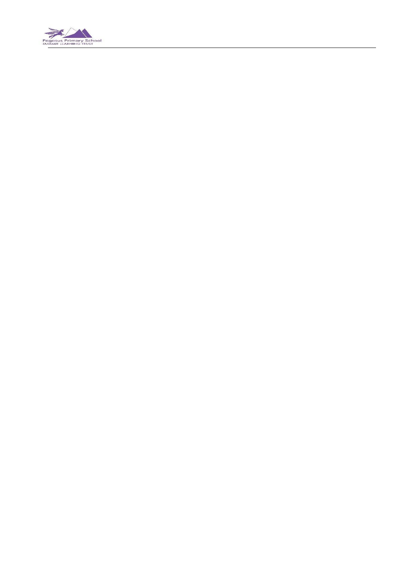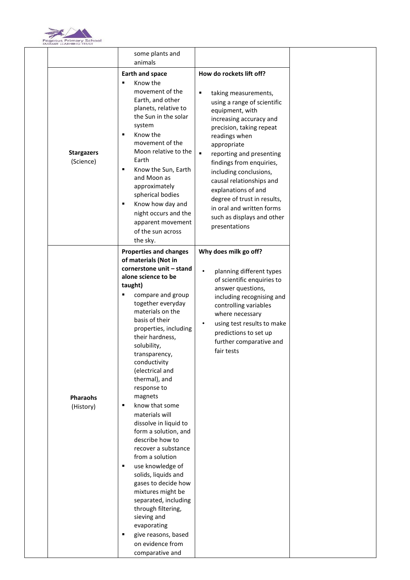

|                                | some plants and                                                                                                                                                                                                                                                                                                                                                                                                                                                                                                                                                                                                                                                                                                                                   |                                                                                                                                                                                                                                                                                                                                                                                                                                                     |
|--------------------------------|---------------------------------------------------------------------------------------------------------------------------------------------------------------------------------------------------------------------------------------------------------------------------------------------------------------------------------------------------------------------------------------------------------------------------------------------------------------------------------------------------------------------------------------------------------------------------------------------------------------------------------------------------------------------------------------------------------------------------------------------------|-----------------------------------------------------------------------------------------------------------------------------------------------------------------------------------------------------------------------------------------------------------------------------------------------------------------------------------------------------------------------------------------------------------------------------------------------------|
|                                | animals                                                                                                                                                                                                                                                                                                                                                                                                                                                                                                                                                                                                                                                                                                                                           |                                                                                                                                                                                                                                                                                                                                                                                                                                                     |
| <b>Stargazers</b><br>(Science) | Earth and space<br>Know the<br>п<br>movement of the<br>Earth, and other<br>planets, relative to<br>the Sun in the solar<br>system<br>Know the<br>٠<br>movement of the<br>Moon relative to the<br>Earth<br>Know the Sun, Earth<br>٠<br>and Moon as<br>approximately<br>spherical bodies<br>Know how day and<br>٠<br>night occurs and the<br>apparent movement<br>of the sun across<br>the sky.                                                                                                                                                                                                                                                                                                                                                     | How do rockets lift off?<br>٠<br>taking measurements,<br>using a range of scientific<br>equipment, with<br>increasing accuracy and<br>precision, taking repeat<br>readings when<br>appropriate<br>٠<br>reporting and presenting<br>findings from enquiries,<br>including conclusions,<br>causal relationships and<br>explanations of and<br>degree of trust in results,<br>in oral and written forms<br>such as displays and other<br>presentations |
| <b>Pharaohs</b><br>(History)   | <b>Properties and changes</b><br>of materials (Not in<br>cornerstone unit - stand<br>alone science to be<br>taught)<br>compare and group<br>п<br>together everyday<br>materials on the<br>basis of their<br>properties, including<br>their hardness,<br>solubility,<br>transparency,<br>conductivity<br>(electrical and<br>thermal), and<br>response to<br>magnets<br>know that some<br>Ξ<br>materials will<br>dissolve in liquid to<br>form a solution, and<br>describe how to<br>recover a substance<br>from a solution<br>use knowledge of<br>٠<br>solids, liquids and<br>gases to decide how<br>mixtures might be<br>separated, including<br>through filtering,<br>sieving and<br>evaporating<br>give reasons, based<br>п<br>on evidence from | Why does milk go off?<br>planning different types<br>of scientific enquiries to<br>answer questions,<br>including recognising and<br>controlling variables<br>where necessary<br>using test results to make<br>$\bullet$<br>predictions to set up<br>further comparative and<br>fair tests                                                                                                                                                          |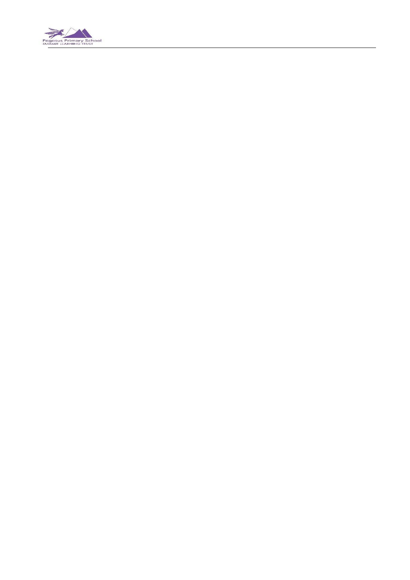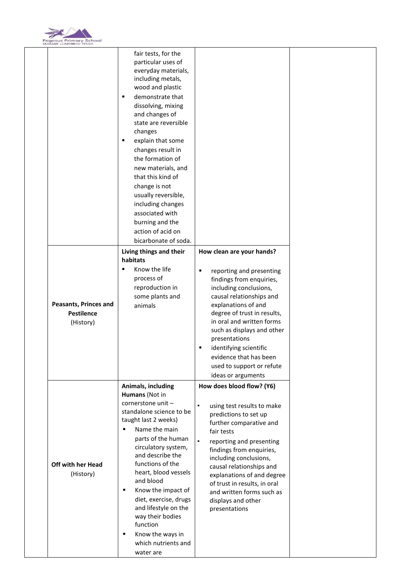

|                                                                | fair tests, for the<br>particular uses of<br>everyday materials,<br>including metals,<br>wood and plastic<br>demonstrate that<br>$\blacksquare$<br>dissolving, mixing<br>and changes of<br>state are reversible<br>changes<br>explain that some<br>$\blacksquare$<br>changes result in<br>the formation of<br>new materials, and<br>that this kind of<br>change is not<br>usually reversible,<br>including changes<br>associated with<br>burning and the<br>action of acid on<br>bicarbonate of soda. |                                                                                                                                                                                                                                                                                                                                                                                                     |  |
|----------------------------------------------------------------|-------------------------------------------------------------------------------------------------------------------------------------------------------------------------------------------------------------------------------------------------------------------------------------------------------------------------------------------------------------------------------------------------------------------------------------------------------------------------------------------------------|-----------------------------------------------------------------------------------------------------------------------------------------------------------------------------------------------------------------------------------------------------------------------------------------------------------------------------------------------------------------------------------------------------|--|
| <b>Peasants, Princes and</b><br><b>Pestilence</b><br>(History) | Living things and their<br>habitats<br>Know the life<br>$\blacksquare$<br>process of<br>reproduction in<br>some plants and<br>animals                                                                                                                                                                                                                                                                                                                                                                 | How clean are your hands?<br>٠<br>reporting and presenting<br>findings from enquiries,<br>including conclusions,<br>causal relationships and<br>explanations of and<br>degree of trust in results,<br>in oral and written forms<br>such as displays and other<br>presentations<br>identifying scientific<br>٠<br>evidence that has been<br>used to support or refute<br>ideas or arguments          |  |
| Off with her Head<br>(History)                                 | Animals, including<br>Humans (Not in<br>cornerstone unit -<br>standalone science to be<br>taught last 2 weeks)<br>Name the main<br>٠<br>parts of the human<br>circulatory system,<br>and describe the<br>functions of the<br>heart, blood vessels<br>and blood<br>Know the impact of<br>٠<br>diet, exercise, drugs<br>and lifestyle on the<br>way their bodies<br>function<br>Know the ways in<br>٠<br>which nutrients and<br>water are                                                               | How does blood flow? (Y6)<br>$\bullet$<br>using test results to make<br>predictions to set up<br>further comparative and<br>fair tests<br>$\bullet$<br>reporting and presenting<br>findings from enquiries,<br>including conclusions,<br>causal relationships and<br>explanations of and degree<br>of trust in results, in oral<br>and written forms such as<br>displays and other<br>presentations |  |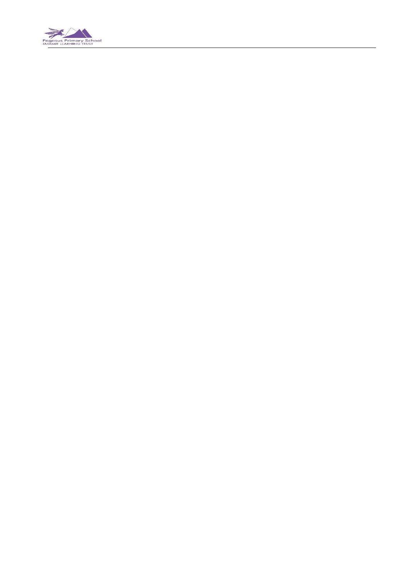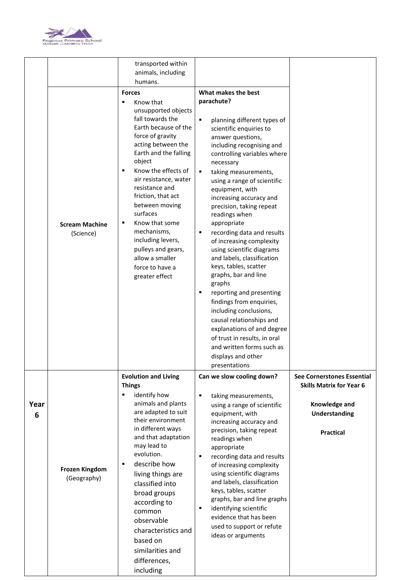

|      |                       | transported within<br>animals, including    |                                                         |                                                               |
|------|-----------------------|---------------------------------------------|---------------------------------------------------------|---------------------------------------------------------------|
|      |                       | humans.                                     |                                                         |                                                               |
|      |                       | <b>Forces</b>                               | What makes the best                                     |                                                               |
|      |                       | Know that<br>Ξ                              | parachute?                                              |                                                               |
|      |                       | unsupported objects                         |                                                         |                                                               |
|      |                       | fall towards the                            | planning different types of<br>٠                        |                                                               |
|      |                       | Earth because of the                        | scientific enquiries to                                 |                                                               |
|      |                       | force of gravity                            | answer questions,                                       |                                                               |
|      |                       | acting between the<br>Earth and the falling | including recognising and                               |                                                               |
|      |                       | object                                      | controlling variables where<br>necessary                |                                                               |
|      |                       | Know the effects of<br>Ξ                    | ٠<br>taking measurements,                               |                                                               |
|      |                       | air resistance, water                       | using a range of scientific                             |                                                               |
|      |                       | resistance and                              | equipment, with                                         |                                                               |
|      |                       | friction, that act                          | increasing accuracy and                                 |                                                               |
|      |                       | between moving                              | precision, taking repeat                                |                                                               |
|      |                       | surfaces                                    | readings when                                           |                                                               |
|      | <b>Scream Machine</b> | Know that some<br>٠                         | appropriate                                             |                                                               |
|      | (Science)             | mechanisms,                                 | recording data and results<br>٠                         |                                                               |
|      |                       | including levers,                           | of increasing complexity                                |                                                               |
|      |                       | pulleys and gears,<br>allow a smaller       | using scientific diagrams<br>and labels, classification |                                                               |
|      |                       | force to have a                             | keys, tables, scatter                                   |                                                               |
|      |                       | greater effect                              | graphs, bar and line                                    |                                                               |
|      |                       |                                             | graphs                                                  |                                                               |
|      |                       |                                             | reporting and presenting<br>٠                           |                                                               |
|      |                       |                                             | findings from enquiries,                                |                                                               |
|      |                       |                                             | including conclusions,                                  |                                                               |
|      |                       |                                             | causal relationships and                                |                                                               |
|      |                       |                                             | explanations of and degree                              |                                                               |
|      |                       |                                             | of trust in results, in oral                            |                                                               |
|      |                       |                                             | and written forms such as                               |                                                               |
|      |                       |                                             | displays and other                                      |                                                               |
|      |                       |                                             | presentations                                           |                                                               |
|      |                       | <b>Evolution and Living</b>                 | Can we slow cooling down?                               | See Cornerstones Essential<br><b>Skills Matrix for Year 6</b> |
|      |                       | <b>Things</b><br>identify how<br>Е          |                                                         |                                                               |
| Year |                       | animals and plants                          | taking measurements,<br>٠                               | Knowledge and                                                 |
|      |                       | are adapted to suit                         | using a range of scientific<br>equipment, with          | <b>Understanding</b>                                          |
| 6    |                       | their environment                           | increasing accuracy and                                 |                                                               |
|      |                       | in different ways                           | precision, taking repeat                                | <b>Practical</b>                                              |
|      |                       | and that adaptation                         | readings when                                           |                                                               |
|      |                       | may lead to                                 | appropriate                                             |                                                               |
|      |                       | evolution.                                  | recording data and results                              |                                                               |
|      | <b>Frozen Kingdom</b> | describe how<br>Ξ                           | of increasing complexity                                |                                                               |
|      | (Geography)           | living things are                           | using scientific diagrams                               |                                                               |
|      |                       | classified into                             | and labels, classification<br>keys, tables, scatter     |                                                               |
|      |                       | broad groups                                | graphs, bar and line graphs                             |                                                               |
|      |                       | according to                                | identifying scientific<br>٠                             |                                                               |
|      |                       | common                                      | evidence that has been                                  |                                                               |
|      |                       | observable                                  | used to support or refute                               |                                                               |
|      |                       | characteristics and                         | ideas or arguments                                      |                                                               |
|      |                       | based on                                    |                                                         |                                                               |
|      |                       | similarities and                            |                                                         |                                                               |
|      |                       | differences,                                |                                                         |                                                               |
|      |                       | including                                   |                                                         |                                                               |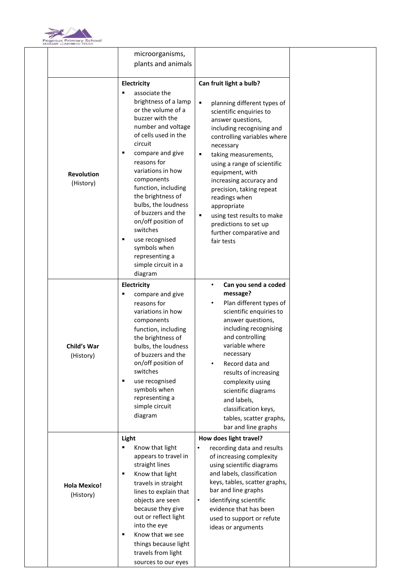

|                                  | microorganisms,                                                                                                                                                                                                                                                                                                                                                                                                                                           |                                                                                                                                                                                                                                                                                                                                                                                                                                                                 |
|----------------------------------|-----------------------------------------------------------------------------------------------------------------------------------------------------------------------------------------------------------------------------------------------------------------------------------------------------------------------------------------------------------------------------------------------------------------------------------------------------------|-----------------------------------------------------------------------------------------------------------------------------------------------------------------------------------------------------------------------------------------------------------------------------------------------------------------------------------------------------------------------------------------------------------------------------------------------------------------|
|                                  | plants and animals                                                                                                                                                                                                                                                                                                                                                                                                                                        |                                                                                                                                                                                                                                                                                                                                                                                                                                                                 |
| <b>Revolution</b><br>(History)   | Electricity<br>associate the<br>brightness of a lamp<br>or the volume of a<br>buzzer with the<br>number and voltage<br>of cells used in the<br>circuit<br>$\blacksquare$<br>compare and give<br>reasons for<br>variations in how<br>components<br>function, including<br>the brightness of<br>bulbs, the loudness<br>of buzzers and the<br>on/off position of<br>switches<br>use recognised<br>٠<br>symbols when<br>representing a<br>simple circuit in a | Can fruit light a bulb?<br>planning different types of<br>٠<br>scientific enquiries to<br>answer questions,<br>including recognising and<br>controlling variables where<br>necessary<br>taking measurements,<br>٠<br>using a range of scientific<br>equipment, with<br>increasing accuracy and<br>precision, taking repeat<br>readings when<br>appropriate<br>using test results to make<br>٠<br>predictions to set up<br>further comparative and<br>fair tests |
| Child's War<br>(History)         | diagram<br>Electricity<br>compare and give<br>٠<br>reasons for<br>variations in how<br>components<br>function, including<br>the brightness of<br>bulbs, the loudness<br>of buzzers and the<br>on/off position of<br>switches<br>use recognised<br>٠<br>symbols when<br>representing a<br>simple circuit<br>diagram                                                                                                                                        | Can you send a coded<br>$\bullet$<br>message?<br>Plan different types of<br>$\bullet$<br>scientific enquiries to<br>answer questions,<br>including recognising<br>and controlling<br>variable where<br>necessary<br>Record data and<br>$\bullet$<br>results of increasing<br>complexity using<br>scientific diagrams<br>and labels,<br>classification keys,<br>tables, scatter graphs,<br>bar and line graphs                                                   |
| <b>Hola Mexico!</b><br>(History) | Light<br>Know that light<br>٠<br>appears to travel in<br>straight lines<br>Know that light<br>٠<br>travels in straight<br>lines to explain that<br>objects are seen<br>because they give<br>out or reflect light<br>into the eye<br>Know that we see<br>٠<br>things because light<br>travels from light<br>sources to our eyes                                                                                                                            | How does light travel?<br>recording data and results<br>of increasing complexity<br>using scientific diagrams<br>and labels, classification<br>keys, tables, scatter graphs,<br>bar and line graphs<br>identifying scientific<br>$\bullet$<br>evidence that has been<br>used to support or refute<br>ideas or arguments                                                                                                                                         |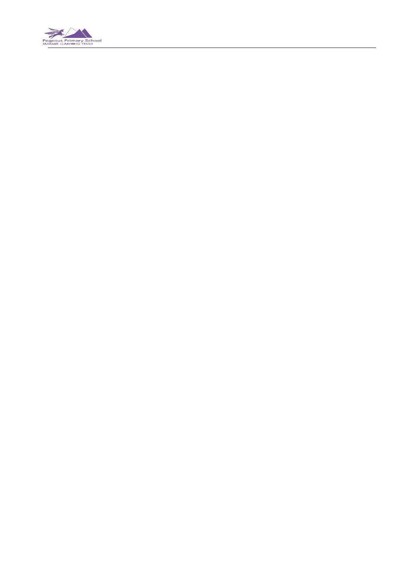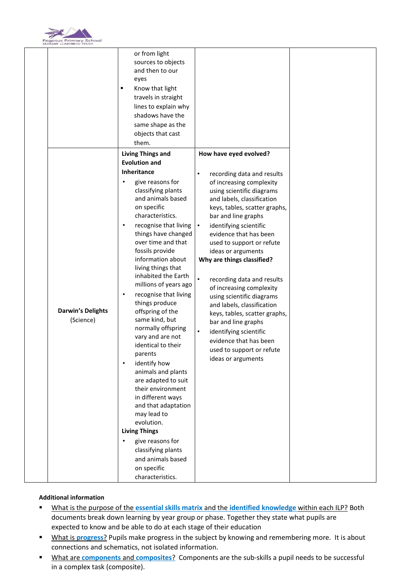

|                                       | or from light<br>sources to objects<br>and then to our<br>eyes<br>٠<br>Know that light<br>travels in straight<br>lines to explain why<br>shadows have the<br>same shape as the<br>objects that cast<br>them.                                                                                                                                                                                                                                                                                                                                                                                                                                                                                                                                                                                                               |                                                                                                                                                                                                                                                                                                                                                                                                                                                                                                                                                                                                                                                                                  |
|---------------------------------------|----------------------------------------------------------------------------------------------------------------------------------------------------------------------------------------------------------------------------------------------------------------------------------------------------------------------------------------------------------------------------------------------------------------------------------------------------------------------------------------------------------------------------------------------------------------------------------------------------------------------------------------------------------------------------------------------------------------------------------------------------------------------------------------------------------------------------|----------------------------------------------------------------------------------------------------------------------------------------------------------------------------------------------------------------------------------------------------------------------------------------------------------------------------------------------------------------------------------------------------------------------------------------------------------------------------------------------------------------------------------------------------------------------------------------------------------------------------------------------------------------------------------|
| <b>Darwin's Delights</b><br>(Science) | <b>Living Things and</b><br><b>Evolution and</b><br><b>Inheritance</b><br>give reasons for<br>classifying plants<br>and animals based<br>on specific<br>characteristics.<br>recognise that living<br>things have changed<br>over time and that<br>fossils provide<br>information about<br>living things that<br>inhabited the Earth<br>millions of years ago<br>recognise that living<br>$\bullet$<br>things produce<br>offspring of the<br>same kind, but<br>normally offspring<br>vary and are not<br>identical to their<br>parents<br>identify how<br>animals and plants<br>are adapted to suit<br>their environment<br>in different ways<br>and that adaptation<br>may lead to<br>evolution.<br><b>Living Things</b><br>give reasons for<br>classifying plants<br>and animals based<br>on specific<br>characteristics. | How have eyed evolved?<br>recording data and results<br>$\bullet$<br>of increasing complexity<br>using scientific diagrams<br>and labels, classification<br>keys, tables, scatter graphs,<br>bar and line graphs<br>identifying scientific<br>$\bullet$<br>evidence that has been<br>used to support or refute<br>ideas or arguments<br>Why are things classified?<br>$\bullet$<br>recording data and results<br>of increasing complexity<br>using scientific diagrams<br>and labels, classification<br>keys, tables, scatter graphs,<br>bar and line graphs<br>$\bullet$<br>identifying scientific<br>evidence that has been<br>used to support or refute<br>ideas or arguments |

## **Additional information**

- What is the purpose of the **essential skills matrix** and the **identified knowledge** within each ILP? Both documents break down learning by year group or phase. Together they state what pupils are expected to know and be able to do at each stage of their education
- What is **progress**? Pupils make progress in the subject by knowing and remembering more. It is about connections and schematics, not isolated information.
- What are **components** and **composites**? Components are the sub-skills a pupil needs to be successful in a complex task (composite).